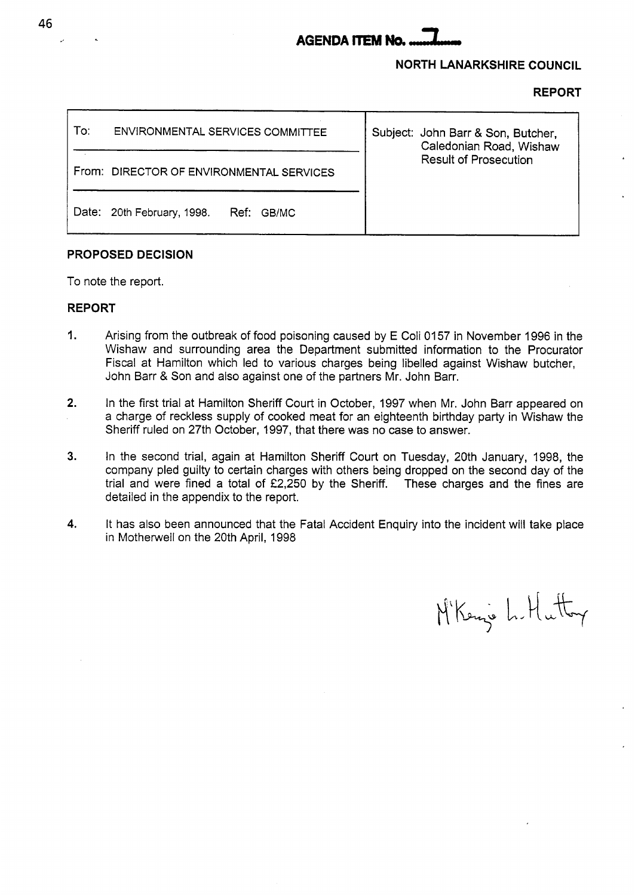# **AGENDA** ITEM **Na** -

# **NORTH LANARKSHIRE COUNCIL**

### **REPORT**

| To: | ENVIRONMENTAL SERVICES COMMITTEE         | Subject: John Barr & Son, Butcher,<br>Caledonian Road, Wishaw<br><b>Result of Prosecution</b> |
|-----|------------------------------------------|-----------------------------------------------------------------------------------------------|
|     | From: DIRECTOR OF ENVIRONMENTAL SERVICES |                                                                                               |
|     | Date: 20th February, 1998.<br>Ref: GB/MC |                                                                                               |

# **PROPOSED DECISION**

To note the report.

# **REPORT**

- I. Arising from the outbreak of food poisoning caused by E Coli 0157 in November 1996 in the Wishaw and surrounding area the Department submitted information to the Procurator Fiscal at Hamilton which led to various charges being libelled against Wishaw butcher, John Barr & Son and also against one of the partners Mr. John Barr.
- **2.** In the first trial at Hamilton Sheriff Court in October, 1997 when Mr. John Barr appeared on a charge of reckless supply of cooked meat for an eighteenth birthday party in Wishaw the Sheriff ruled on 27th October, 1997, that there was no case to answer.
- **3.** In the second trial, again at Hamilton Sheriff Court on Tuesday, 20th January, 1998, the company pled guilty to certain charges with others being dropped on the second day of the trial and were fined a total of  $£2,250$  by the Sheriff. These charges and the fines are detailed in the appendix to the report.
- **4.** It has also been announced that the Fatal Accident Enquiry into the incident will take place in Motherwell on the 20th April, 1998

M'Kenje L. Hutter

**46**